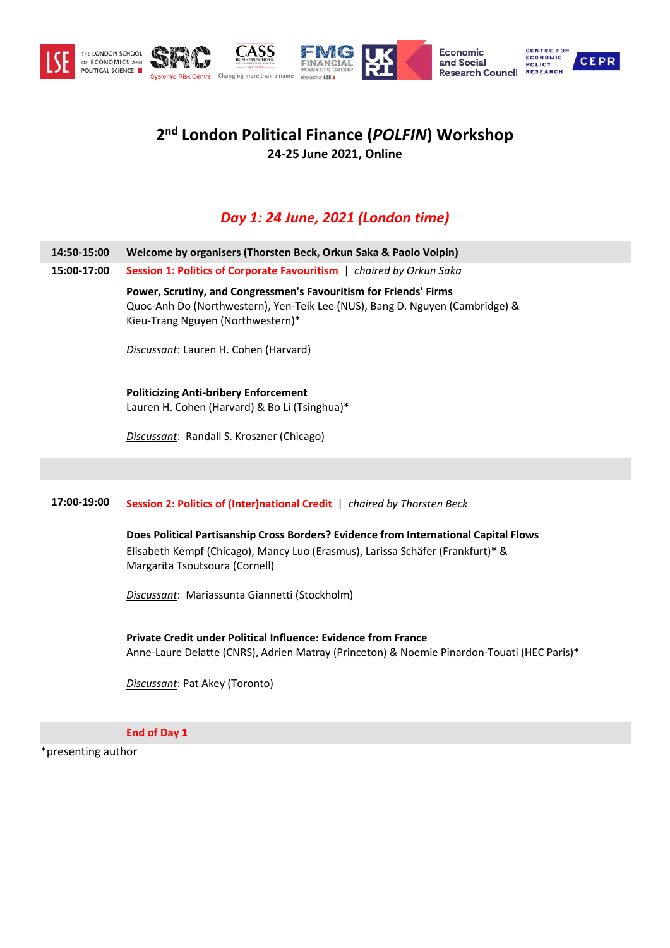

# **2nd London Political Finance (***POLFIN***) Workshop 24-25 June 2021, Online**

## *Day 1: 24 June, 2021 (London time)*

- **14:50-15:00 Welcome by organisers (Thorsten Beck, Orkun Saka & Paolo Volpin)**
- **15:00-17:00 Session 1: Politics of Corporate Favouritism** |*chaired by Orkun Saka*

**Power, Scrutiny, and Congressmen's Favouritism for Friends' Firms**  Quoc-Anh Do (Northwestern), Yen-Teik Lee (NUS), Bang D. Nguyen (Cambridge) & Kieu-Trang Nguyen (Northwestern)\*

*Discussant*: Lauren H. Cohen (Harvard)

**Politicizing Anti-bribery Enforcement** Lauren H. Cohen (Harvard) & Bo Li (Tsinghua)\*

*Discussant*: Randall S. Kroszner (Chicago)

### **17:00-19:00 Session 2: Politics of (Inter)national Credit** | *chaired by Thorsten Beck*

**Does Political Partisanship Cross Borders? Evidence from International Capital Flows** Elisabeth Kempf (Chicago), Mancy Luo (Erasmus), Larissa Schäfer (Frankfurt)\* & Margarita Tsoutsoura (Cornell)

*Discussant*: Mariassunta Giannetti (Stockholm)

**Private Credit under Political Influence: Evidence from France**  Anne-Laure Delatte (CNRS), Adrien Matray (Princeton) & Noemie Pinardon-Touati (HEC Paris)\*

*Discussant*: Pat Akey (Toronto)

**End of Day 1**

\*presenting author